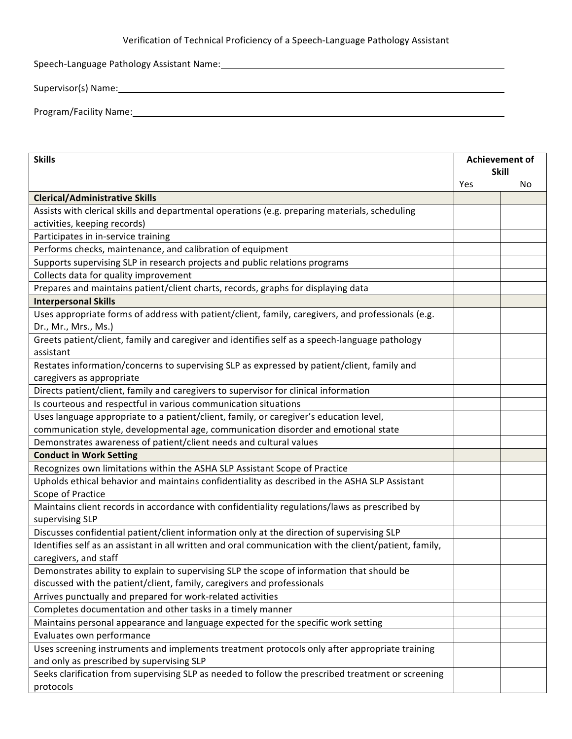Speech-Language Pathology Assistant Name:

Supervisor(s) Name: 1988 and 2008 and 2008 and 2008 and 2008 and 2008 and 2008 and 2008 and 2008 and 2008 and 2008 and 2008 and 2008 and 2008 and 2008 and 2008 and 2008 and 2008 and 2008 and 2008 and 2008 and 2008 and 2008

Program/Facility Name:

| <b>Skills</b>                                                                                                    | <b>Achievement of</b> |     |
|------------------------------------------------------------------------------------------------------------------|-----------------------|-----|
|                                                                                                                  | <b>Skill</b><br>Yes   | No. |
| <b>Clerical/Administrative Skills</b>                                                                            |                       |     |
| Assists with clerical skills and departmental operations (e.g. preparing materials, scheduling                   |                       |     |
| activities, keeping records)                                                                                     |                       |     |
| Participates in in-service training                                                                              |                       |     |
| Performs checks, maintenance, and calibration of equipment                                                       |                       |     |
| Supports supervising SLP in research projects and public relations programs                                      |                       |     |
| Collects data for quality improvement                                                                            |                       |     |
| Prepares and maintains patient/client charts, records, graphs for displaying data                                |                       |     |
| <b>Interpersonal Skills</b>                                                                                      |                       |     |
| Uses appropriate forms of address with patient/client, family, caregivers, and professionals (e.g.               |                       |     |
| Dr., Mr., Mrs., Ms.)                                                                                             |                       |     |
| Greets patient/client, family and caregiver and identifies self as a speech-language pathology                   |                       |     |
| assistant                                                                                                        |                       |     |
| Restates information/concerns to supervising SLP as expressed by patient/client, family and                      |                       |     |
| caregivers as appropriate                                                                                        |                       |     |
| Directs patient/client, family and caregivers to supervisor for clinical information                             |                       |     |
| Is courteous and respectful in various communication situations                                                  |                       |     |
| Uses language appropriate to a patient/client, family, or caregiver's education level,                           |                       |     |
| communication style, developmental age, communication disorder and emotional state                               |                       |     |
| Demonstrates awareness of patient/client needs and cultural values                                               |                       |     |
| <b>Conduct in Work Setting</b>                                                                                   |                       |     |
| Recognizes own limitations within the ASHA SLP Assistant Scope of Practice                                       |                       |     |
| Upholds ethical behavior and maintains confidentiality as described in the ASHA SLP Assistant                    |                       |     |
| Scope of Practice                                                                                                |                       |     |
| Maintains client records in accordance with confidentiality regulations/laws as prescribed by<br>supervising SLP |                       |     |
| Discusses confidential patient/client information only at the direction of supervising SLP                       |                       |     |
| Identifies self as an assistant in all written and oral communication with the client/patient, family,           |                       |     |
| caregivers, and staff                                                                                            |                       |     |
| Demonstrates ability to explain to supervising SLP the scope of information that should be                       |                       |     |
| discussed with the patient/client, family, caregivers and professionals                                          |                       |     |
| Arrives punctually and prepared for work-related activities                                                      |                       |     |
| Completes documentation and other tasks in a timely manner                                                       |                       |     |
| Maintains personal appearance and language expected for the specific work setting                                |                       |     |
| Evaluates own performance                                                                                        |                       |     |
| Uses screening instruments and implements treatment protocols only after appropriate training                    |                       |     |
| and only as prescribed by supervising SLP                                                                        |                       |     |
| Seeks clarification from supervising SLP as needed to follow the prescribed treatment or screening               |                       |     |
| protocols                                                                                                        |                       |     |